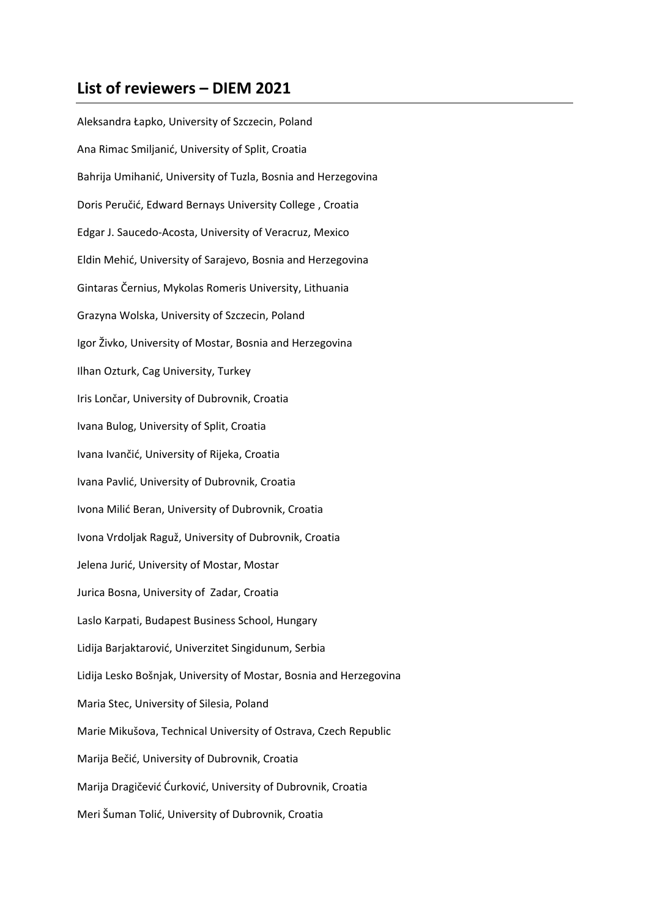## **List of reviewers – DIEM 2021**

Aleksandra Łapko, University of Szczecin, Poland Ana Rimac Smiljanić, University of Split, Croatia Bahrija Umihanić, University of Tuzla, Bosnia and Herzegovina Doris Peručić, Edward Bernays University College , Croatia Edgar J. Saucedo-Acosta, University of Veracruz, Mexico Eldin Mehić, University of Sarajevo, Bosnia and Herzegovina Gintaras Černius, Mykolas Romeris University, Lithuania Grazyna Wolska, University of Szczecin, Poland Igor Živko, University of Mostar, Bosnia and Herzegovina Ilhan Ozturk, Cag University, Turkey Iris Lončar, University of Dubrovnik, Croatia Ivana Bulog, University of Split, Croatia Ivana Ivančić, University of Rijeka, Croatia Ivana Pavlić, University of Dubrovnik, Croatia Ivona Milić Beran, University of Dubrovnik, Croatia Ivona Vrdoljak Raguž, University of Dubrovnik, Croatia Jelena Jurić, University of Mostar, Mostar Jurica Bosna, University of Zadar, Croatia Laslo Karpati, Budapest Business School, Hungary Lidija Barjaktarović, Univerzitet Singidunum, Serbia Lidija Lesko Bošnjak, University of Mostar, Bosnia and Herzegovina Maria Stec, University of Silesia, Poland Marie Mikušova, Technical University of Ostrava, Czech Republic Marija Bečić, University of Dubrovnik, Croatia Marija Dragičević Ćurković, University of Dubrovnik, Croatia Meri Šuman Tolić, University of Dubrovnik, Croatia